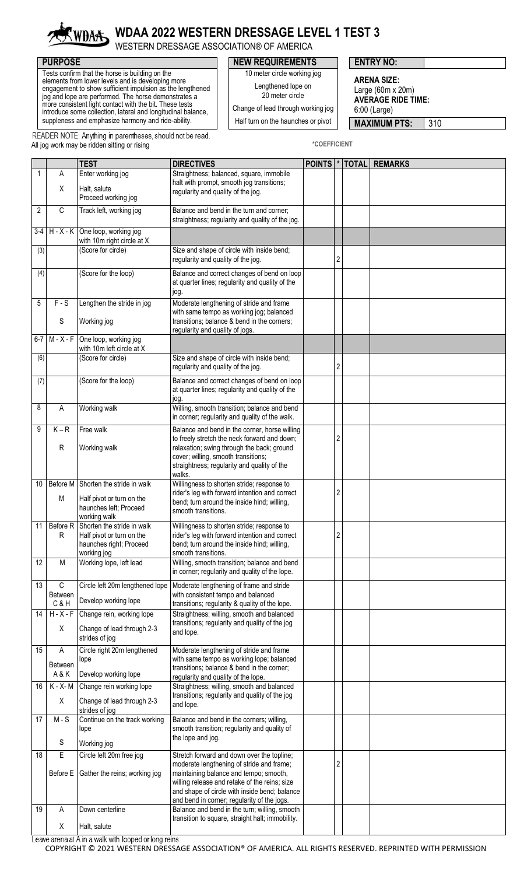

## **WDAA 2022 WESTERN DRESSAGE LEVEL 1 TEST 3**

WESTERN DRESSAGE ASSOCIATION® OF AMERICA

 Tests confirm that the horse is building on the elements from lower levels and is developing more engagement to show sufficient impulsion as the lengthened jog and lope are performed. The horse demonstrates a more consistent light contact with the bit. These tests introduce some collection, lateral and longitudinal balance, suppleness and emphasize harmony and ride-ability.

## **PURPOSE PURPOSE ENTRY NO:**

10 meter circle working jog Lengthened lope on

**ARENA SIZE:**

20 meter circle

Change of lead through working jog

Half turn on the haunches or pivot

Large (60m x 20m) **AVERAGE RIDE TIME:** 6:00 (Large)

**MAXIMUM PTS:** 310

READER NOTE: Anything in parentheses, should not be read. All jog work may be ridden sitting or rising **\*COEFFICIENT** 

|                |                               | <b>TEST</b>                                                                                                       | <b>DIRECTIVES</b>                                                                                                                                                                                                                                                                  | POINTS <sup>*</sup> |                | <b>TOTAL REMARKS</b> |
|----------------|-------------------------------|-------------------------------------------------------------------------------------------------------------------|------------------------------------------------------------------------------------------------------------------------------------------------------------------------------------------------------------------------------------------------------------------------------------|---------------------|----------------|----------------------|
| 1              | Α                             | Enter working jog                                                                                                 | Straightness; balanced, square, immobile<br>halt with prompt, smooth jog transitions;                                                                                                                                                                                              |                     |                |                      |
|                | Χ                             | Halt, salute<br>Proceed working jog                                                                               | regularity and quality of the jog.                                                                                                                                                                                                                                                 |                     |                |                      |
| $\overline{2}$ | C                             | Track left, working jog                                                                                           | Balance and bend in the turn and corner;<br>straightness; regularity and quality of the jog.                                                                                                                                                                                       |                     |                |                      |
| $3-4$          |                               | $H - X - K$ One loop, working jog<br>with 10m right circle at X                                                   |                                                                                                                                                                                                                                                                                    |                     |                |                      |
| (3)            |                               | (Score for circle)                                                                                                | Size and shape of circle with inside bend;<br>regularity and quality of the jog.                                                                                                                                                                                                   |                     | $\overline{c}$ |                      |
| (4)            |                               | (Score for the loop)                                                                                              | Balance and correct changes of bend on loop<br>at quarter lines; regularity and quality of the<br>jog.                                                                                                                                                                             |                     |                |                      |
| 5              | $F-S$<br>S                    | Lengthen the stride in jog<br>Working jog                                                                         | Moderate lengthening of stride and frame<br>with same tempo as working jog; balanced<br>transitions; balance & bend in the corners;                                                                                                                                                |                     |                |                      |
| $6-7$          | $M - X - F$                   | One loop, working jog                                                                                             | regularity and quality of jogs.                                                                                                                                                                                                                                                    |                     |                |                      |
|                |                               | with 10m left circle at X                                                                                         |                                                                                                                                                                                                                                                                                    |                     |                |                      |
| (6)            |                               | (Score for circle)                                                                                                | Size and shape of circle with inside bend;<br>regularity and quality of the jog.                                                                                                                                                                                                   |                     | $\overline{2}$ |                      |
| (7)            |                               | (Score for the loop)                                                                                              | Balance and correct changes of bend on loop<br>at quarter lines; regularity and quality of the<br>jog.                                                                                                                                                                             |                     |                |                      |
| 8              | A                             | Working walk                                                                                                      | Willing, smooth transition; balance and bend<br>in corner; regularity and quality of the walk.                                                                                                                                                                                     |                     |                |                      |
| 9              | $K - R$<br>R                  | Free walk<br>Working walk                                                                                         | Balance and bend in the corner, horse willing<br>to freely stretch the neck forward and down;<br>relaxation; swing through the back; ground<br>cover; willing, smooth transitions;<br>straightness; regularity and quality of the<br>walks.                                        |                     | 2              |                      |
| 10             | M                             | Before M Shorten the stride in walk<br>Half pivot or turn on the<br>haunches left; Proceed                        | Willingness to shorten stride; response to<br>rider's leg with forward intention and correct<br>bend; turn around the inside hind; willing,<br>smooth transitions.                                                                                                                 |                     | 2              |                      |
| 11             | Before R<br>R                 | working walk<br>Shorten the stride in walk<br>Half pivot or turn on the<br>haunches right; Proceed<br>working jog | Willingness to shorten stride; response to<br>rider's leg with forward intention and correct<br>bend; turn around the inside hind; willing,<br>smooth transitions.                                                                                                                 |                     | $\overline{2}$ |                      |
| 12             | М                             | Working lope, left lead                                                                                           | Willing, smooth transition; balance and bend<br>in corner; regularity and quality of the lope.                                                                                                                                                                                     |                     |                |                      |
| 13             | $\mathbb C$<br><b>Between</b> | Circle left 20m lengthened lope                                                                                   | Moderate lengthening of frame and stride<br>with consistent tempo and balanced                                                                                                                                                                                                     |                     |                |                      |
|                | C&H                           | Develop working lope                                                                                              | transitions; regularity & quality of the lope.                                                                                                                                                                                                                                     |                     |                |                      |
| 14             | $H - X - F$<br>X              | Change rein, working lope<br>Change of lead through 2-3<br>strides of jog                                         | Straightness; willing, smooth and balanced<br>transitions; regularity and quality of the jog<br>and lope.                                                                                                                                                                          |                     |                |                      |
| 15             | Α<br><b>Between</b><br>A & K  | Circle right 20m lengthened<br>lope<br>Develop working lope                                                       | Moderate lengthening of stride and frame<br>with same tempo as working lope; balanced<br>transitions; balance & bend in the corner;<br>regularity and quality of the lope.                                                                                                         |                     |                |                      |
| 16             | K - X- M                      | Change rein working lope                                                                                          | Straightness; willing, smooth and balanced                                                                                                                                                                                                                                         |                     |                |                      |
|                | X                             | Change of lead through 2-3<br>strides of jog                                                                      | transitions; regularity and quality of the jog<br>and lope.                                                                                                                                                                                                                        |                     |                |                      |
| 17             | $M-S$                         | Continue on the track working<br>lope                                                                             | Balance and bend in the corners; willing,<br>smooth transition; regularity and quality of<br>the lope and jog.                                                                                                                                                                     |                     |                |                      |
|                | ${\mathbb S}$                 | Working jog                                                                                                       |                                                                                                                                                                                                                                                                                    |                     |                |                      |
| 18             | $\overline{E}$                | Circle left 20m free jog<br>Before E Gather the reins; working jog                                                | Stretch forward and down over the topline;<br>moderate lengthening of stride and frame;<br>maintaining balance and tempo; smooth,<br>willing release and retake of the reins; size<br>and shape of circle with inside bend; balance<br>and bend in corner; regularity of the jogs. |                     | 2              |                      |
| 19             | Α                             | Down centerline                                                                                                   | Balance and bend in the turn; willing, smooth                                                                                                                                                                                                                                      |                     |                |                      |
|                | Χ                             | Halt, salute                                                                                                      | transition to square, straight halt; immobility.                                                                                                                                                                                                                                   |                     |                |                      |

Leave arena at A in a walk with looped or long reins

COPYRIGHT © 2021 WESTERN DRESSAGE ASSOCIATION® OF AMERICA. ALL RIGHTS RESERVED. REPRINTED WITH PERMISSION